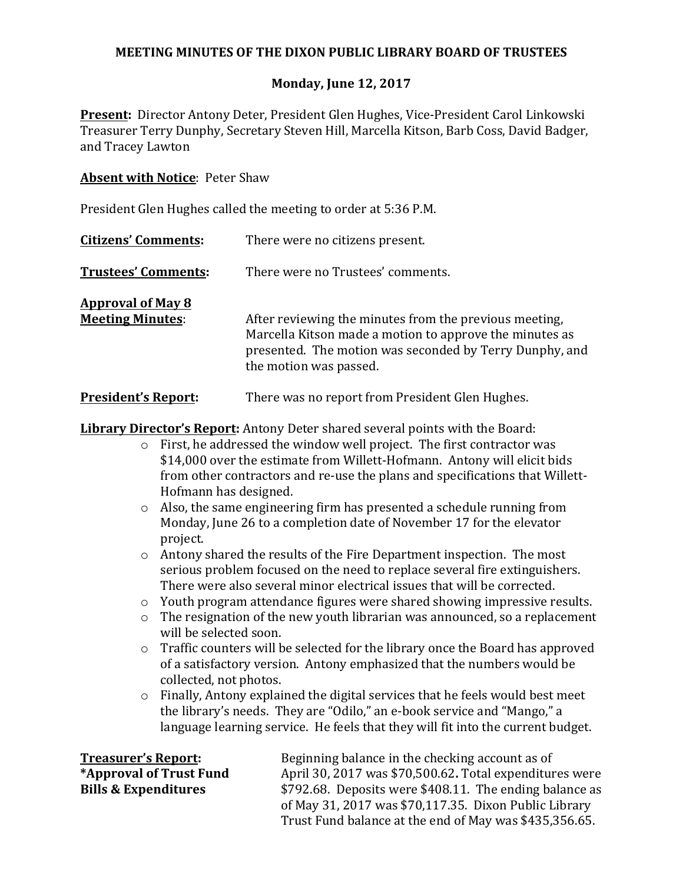# **MEETING MINUTES OF THE DIXON PUBLIC LIBRARY BOARD OF TRUSTEES**

# **Monday, June 12, 2017**

**Present:** Director Antony Deter, President Glen Hughes, Vice-President Carol Linkowski Treasurer Terry Dunphy, Secretary Steven Hill, Marcella Kitson, Barb Coss, David Badger, and Tracey Lawton

### **Absent with Notice: Peter Shaw**

President Glen Hughes called the meeting to order at 5:36 P.M.

| <b>Citizens' Comments:</b>                          | There were no citizens present.                                                                                                                                                                        |
|-----------------------------------------------------|--------------------------------------------------------------------------------------------------------------------------------------------------------------------------------------------------------|
| <b>Trustees' Comments:</b>                          | There were no Trustees' comments.                                                                                                                                                                      |
| <b>Approval of May 8</b><br><b>Meeting Minutes:</b> | After reviewing the minutes from the previous meeting,<br>Marcella Kitson made a motion to approve the minutes as<br>presented. The motion was seconded by Terry Dunphy, and<br>the motion was passed. |
| <b>President's Report:</b>                          | There was no report from President Glen Hughes.                                                                                                                                                        |

**Library Director's Report:** Antony Deter shared several points with the Board:

- $\circ$  First, he addressed the window well project. The first contractor was \$14,000 over the estimate from Willett-Hofmann. Antony will elicit bids from other contractors and re-use the plans and specifications that Willett-Hofmann has designed.
- $\circ$  Also, the same engineering firm has presented a schedule running from Monday, June 26 to a completion date of November 17 for the elevator project.
- $\circ$  Antony shared the results of the Fire Department inspection. The most serious problem focused on the need to replace several fire extinguishers. There were also several minor electrical issues that will be corrected.
- $\circ$  Youth program attendance figures were shared showing impressive results.
- $\circ$  The resignation of the new youth librarian was announced, so a replacement will be selected soon.
- $\circ$  Traffic counters will be selected for the library once the Board has approved of a satisfactory version. Antony emphasized that the numbers would be collected, not photos.
- $\circ$  Finally, Antony explained the digital services that he feels would best meet the library's needs. They are "Odilo," an e-book service and "Mango," a language learning service. He feels that they will fit into the current budget.

**Treasurer's Report:** Beginning balance in the checking account as of **\*Approval of Trust Fund** April 30, 2017 was \$70,500.62**.** Total expenditures were **Bills & Expenditures**  $$792.68$ . Deposits were \$408.11. The ending balance as of May 31, 2017 was  $$70,117.35$ . Dixon Public Library Trust Fund balance at the end of May was \$435,356.65.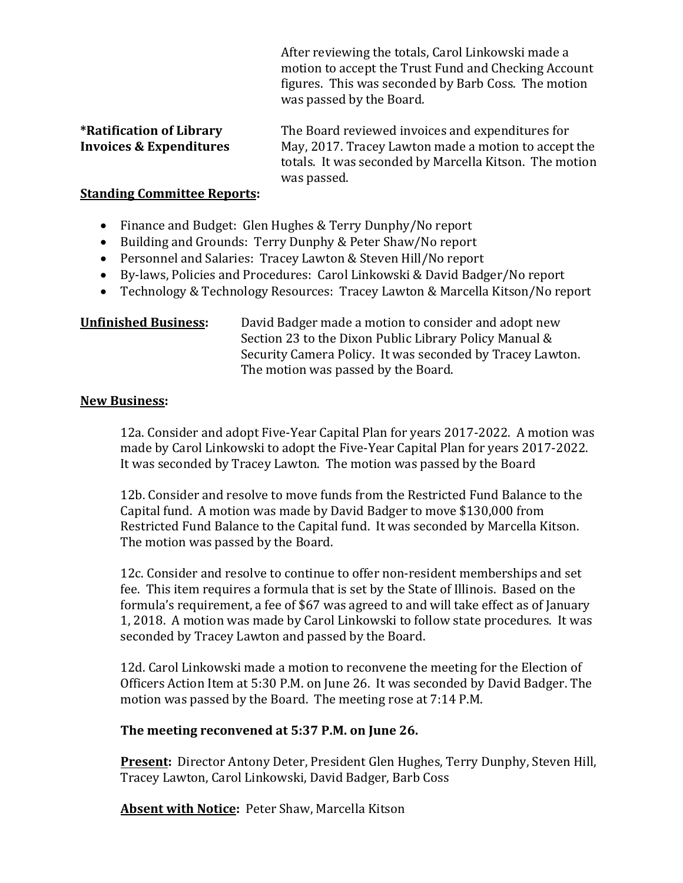After reviewing the totals, Carol Linkowski made a motion to accept the Trust Fund and Checking Account figures. This was seconded by Barb Coss. The motion was passed by the Board.

| <i><b>*Ratification of Library</b></i> | The Board reviewed invoices and expenditures for       |
|----------------------------------------|--------------------------------------------------------|
| <b>Invoices &amp; Expenditures</b>     | May, 2017. Tracey Lawton made a motion to accept the   |
|                                        | totals. It was seconded by Marcella Kitson. The motion |
|                                        | was passed.                                            |

### **Standing Committee Reports:**

- Finance and Budget: Glen Hughes & Terry Dunphy/No report
- Building and Grounds: Terry Dunphy & Peter Shaw/No report
- Personnel and Salaries: Tracey Lawton & Steven Hill/No report
- By-laws, Policies and Procedures: Carol Linkowski & David Badger/No report
- Technology & Technology Resources: Tracey Lawton & Marcella Kitson/No report

**Unfinished Business:** David Badger made a motion to consider and adopt new Section 23 to the Dixon Public Library Policy Manual & Security Camera Policy. It was seconded by Tracey Lawton. The motion was passed by the Board.

### **New Business:**

12a. Consider and adopt Five-Year Capital Plan for years 2017-2022. A motion was made by Carol Linkowski to adopt the Five-Year Capital Plan for years 2017-2022. It was seconded by Tracey Lawton. The motion was passed by the Board

12b. Consider and resolve to move funds from the Restricted Fund Balance to the Capital fund. A motion was made by David Badger to move \$130,000 from Restricted Fund Balance to the Capital fund. It was seconded by Marcella Kitson. The motion was passed by the Board.

12c. Consider and resolve to continue to offer non-resident memberships and set fee. This item requires a formula that is set by the State of Illinois. Based on the formula's requirement, a fee of \$67 was agreed to and will take effect as of January 1, 2018. A motion was made by Carol Linkowski to follow state procedures. It was seconded by Tracey Lawton and passed by the Board.

12d. Carol Linkowski made a motion to reconvene the meeting for the Election of Officers Action Item at 5:30 P.M. on June 26. It was seconded by David Badger. The motion was passed by the Board. The meeting rose at 7:14 P.M.

### **The meeting reconvened at 5:37 P.M. on June 26.**

**Present:** Director Antony Deter, President Glen Hughes, Terry Dunphy, Steven Hill, Tracey Lawton, Carol Linkowski, David Badger, Barb Coss

Absent with Notice: Peter Shaw, Marcella Kitson